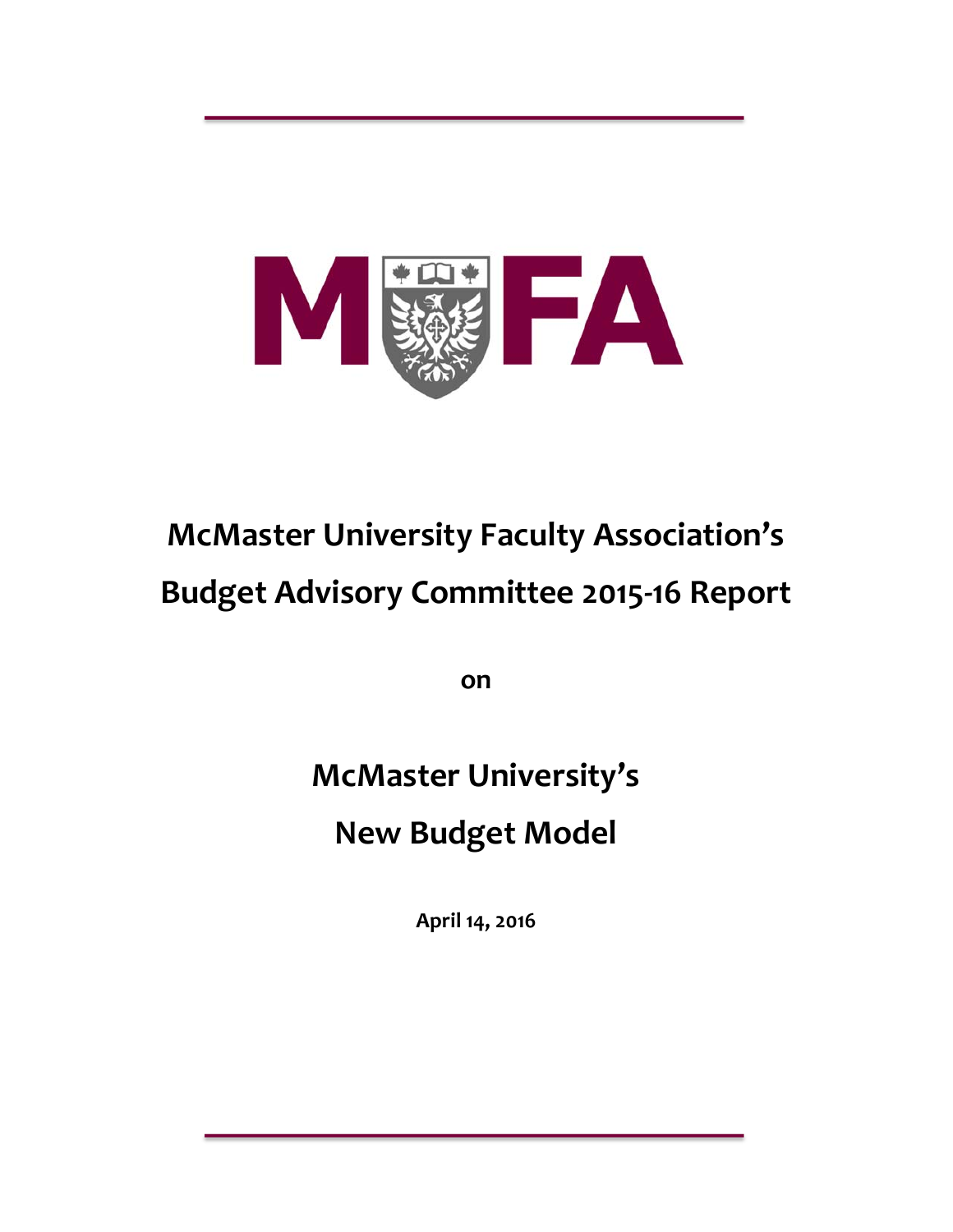

# **McMaster University Faculty Association's Budget Advisory Committee 2015‐16 Report**

**on**

# **McMaster University's New Budget Model**

**April 14, 2016**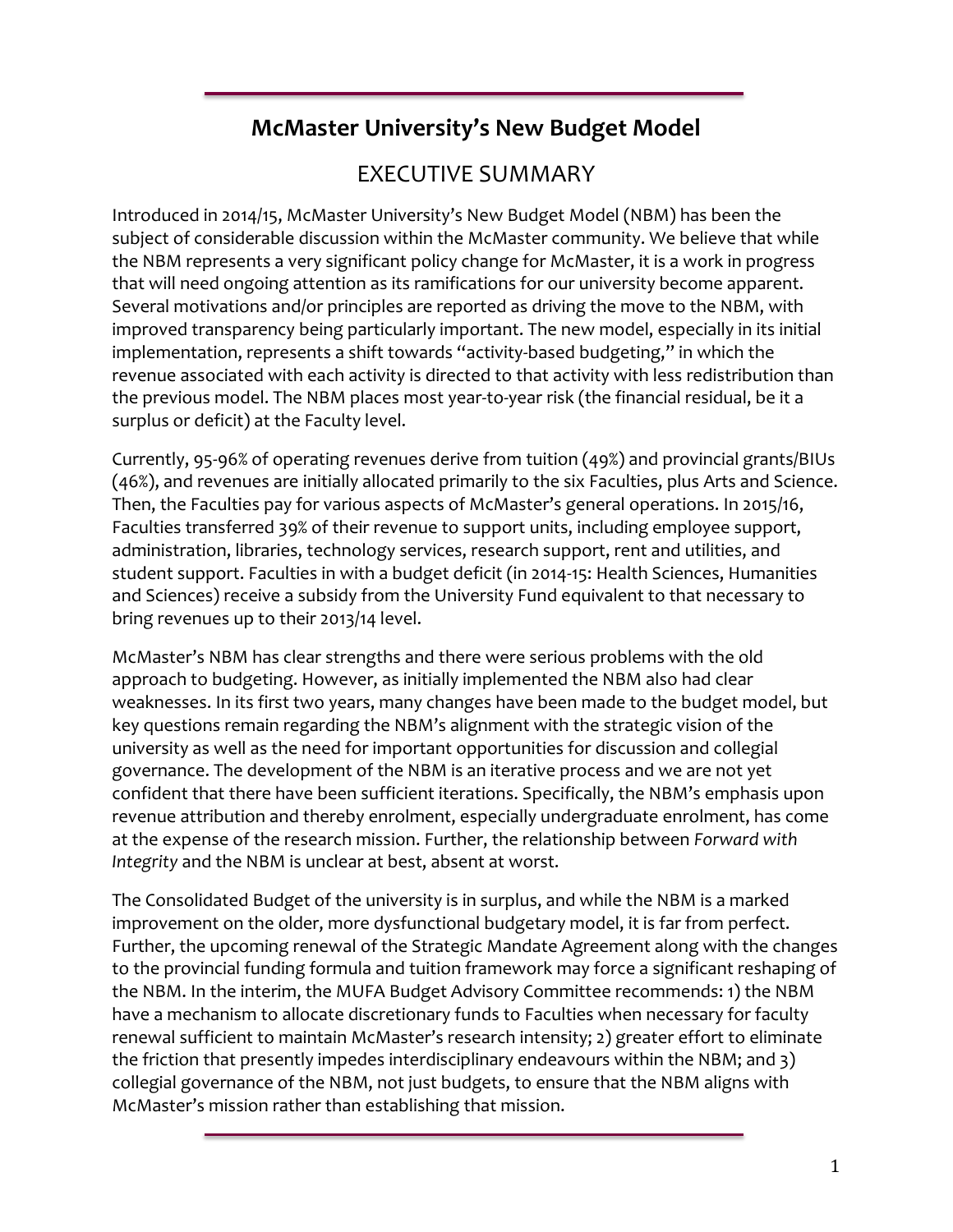# **McMaster University's New Budget Model**

# EXECUTIVE SUMMARY

Introduced in 2014/15, McMaster University's New Budget Model (NBM) has been the subject of considerable discussion within the McMaster community. We believe that while the NBM represents a very significant policy change for McMaster, it is a work in progress that will need ongoing attention as its ramifications for our university become apparent. Several motivations and/or principles are reported as driving the move to the NBM, with improved transparency being particularly important. The new model, especially in its initial implementation, represents a shift towards "activity-based budgeting," in which the revenue associated with each activity is directed to that activity with less redistribution than the previous model. The NBM places most year-to-year risk (the financial residual, be it a surplus or deficit) at the Faculty level.

Currently, 95-96% of operating revenues derive from tuition (49%) and provincial grants/BIUs (46%), and revenues are initially allocated primarily to the six Faculties, plus Arts and Science. Then, the Faculties pay for various aspects of McMaster's general operations. In 2015/16, Faculties transferred 39% of their revenue to support units, including employee support, administration, libraries, technology services, research support, rent and utilities, and student support. Faculties in with a budget deficit (in 2014-15: Health Sciences, Humanities and Sciences) receive a subsidy from the University Fund equivalent to that necessary to bring revenues up to their 2013/14 level.

McMaster's NBM has clear strengths and there were serious problems with the old approach to budgeting. However, as initially implemented the NBM also had clear weaknesses. In its first two years, many changes have been made to the budget model, but key questions remain regarding the NBM's alignment with the strategic vision of the university as well as the need for important opportunities for discussion and collegial governance. The development of the NBM is an iterative process and we are not yet confident that there have been sufficient iterations. Specifically, the NBM's emphasis upon revenue attribution and thereby enrolment, especially undergraduate enrolment, has come at the expense of the research mission. Further, the relationship between *Forward with Integrity* and the NBM is unclear at best, absent at worst.

The Consolidated Budget of the university is in surplus, and while the NBM is a marked improvement on the older, more dysfunctional budgetary model, it is far from perfect. Further, the upcoming renewal of the Strategic Mandate Agreement along with the changes to the provincial funding formula and tuition framework may force a significant reshaping of the NBM. In the interim, the MUFA Budget Advisory Committee recommends: 1) the NBM have a mechanism to allocate discretionary funds to Faculties when necessary for faculty renewal sufficient to maintain McMaster's research intensity; 2) greater effort to eliminate the friction that presently impedes interdisciplinary endeavours within the NBM; and 3) collegial governance of the NBM, not just budgets, to ensure that the NBM aligns with McMaster's mission rather than establishing that mission.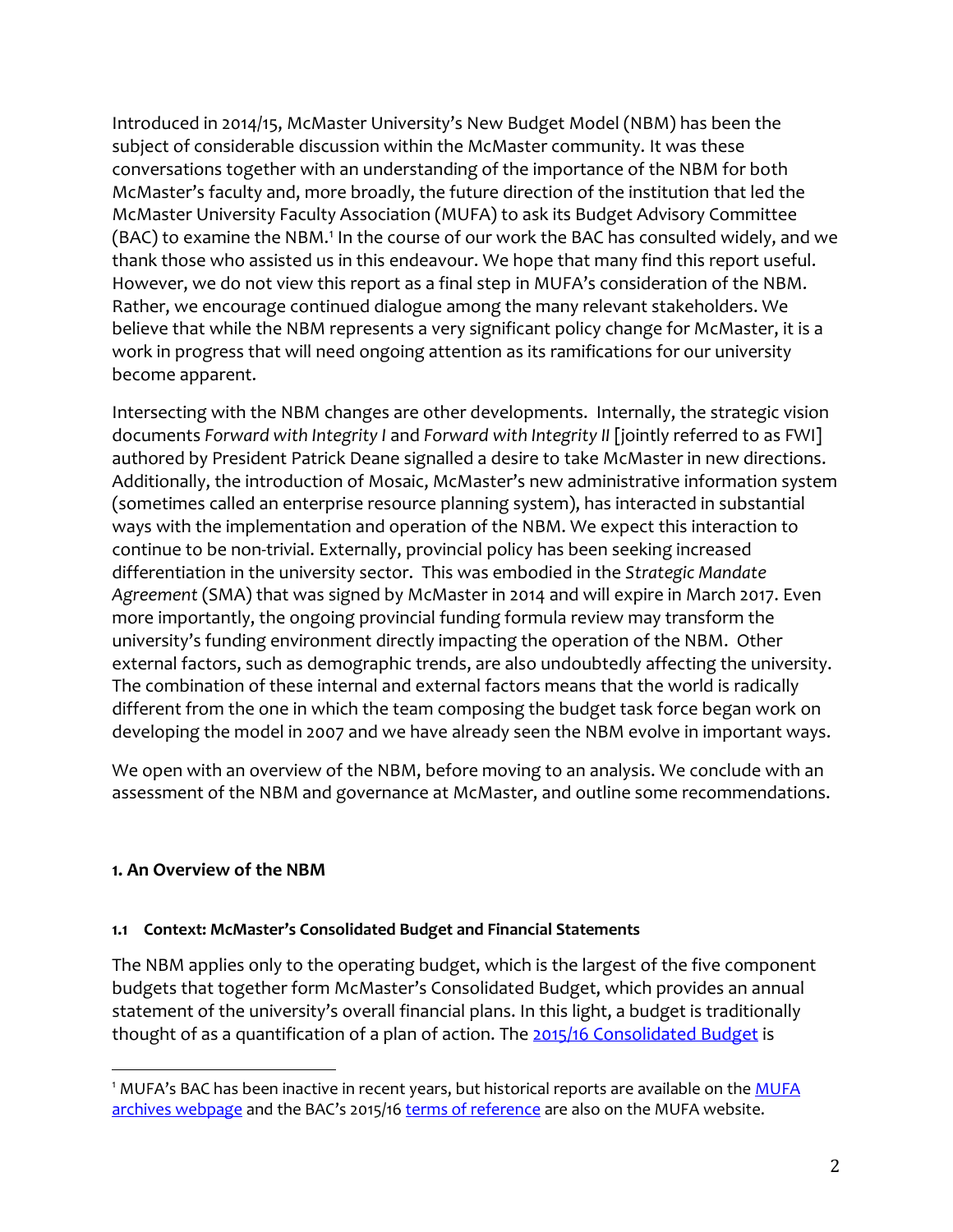Introduced in 2014/15, McMaster University's New Budget Model (NBM) has been the subject of considerable discussion within the McMaster community. It was these conversations together with an understanding of the importance of the NBM for both McMaster's faculty and, more broadly, the future direction of the institution that led the McMaster University Faculty Association (MUFA) to ask its Budget Advisory Committee (BAC) to examine the NBM.<sup>1</sup> In the course of our work the BAC has consulted widely, and we thank those who assisted us in this endeavour. We hope that many find this report useful. However, we do not view this report as a final step in MUFA's consideration of the NBM. Rather, we encourage continued dialogue among the many relevant stakeholders. We believe that while the NBM represents a very significant policy change for McMaster, it is a work in progress that will need ongoing attention as its ramifications for our university become apparent.

Intersecting with the NBM changes are other developments. Internally, the strategic vision documents *Forward with Integrity I* and *Forward with Integrity II* [jointly referred to as FWI] authored by President Patrick Deane signalled a desire to take McMaster in new directions. Additionally, the introduction of Mosaic, McMaster's new administrative information system (sometimes called an enterprise resource planning system), has interacted in substantial ways with the implementation and operation of the NBM. We expect this interaction to continue to be non-trivial. Externally, provincial policy has been seeking increased differentiation in the university sector. This was embodied in the *Strategic Mandate Agreement* (SMA) that was signed by McMaster in 2014 and will expire in March 2017. Even more importantly, the ongoing provincial funding formula review may transform the university's funding environment directly impacting the operation of the NBM. Other external factors, such as demographic trends, are also undoubtedly affecting the university. The combination of these internal and external factors means that the world is radically different from the one in which the team composing the budget task force began work on developing the model in 2007 and we have already seen the NBM evolve in important ways.

We open with an overview of the NBM, before moving to an analysis. We conclude with an assessment of the NBM and governance at McMaster, and outline some recommendations.

#### **1. An Overview of the NBM**

 $\overline{a}$ 

#### **1.1 Context: McMaster's Consolidated Budget and Financial Statements**

The NBM applies only to the operating budget, which is the largest of the five component budgets that together form McMaster's Consolidated Budget, which provides an annual statement of the university's overall financial plans. In this light, a budget is traditionally thought of as a quantification of a plan of action. The [2015/16 Consolidated Budget](https://www.mcmaster.ca/bms/pdf/2015-16_budget.pdf) is

<sup>&</sup>lt;sup>1</sup> MUFA's BAC has been inactive in recent years, but historical reports are available on the **MUFA** [archives webpage](http://macfaculty.ca/archives/) and the BAC's 2015/16 [terms of reference](http://macfaculty.ca/wp-content/uploads/2014/08/BudgetAdvisoryCommittee_2015-16-TOR.pdf) are also on the MUFA website.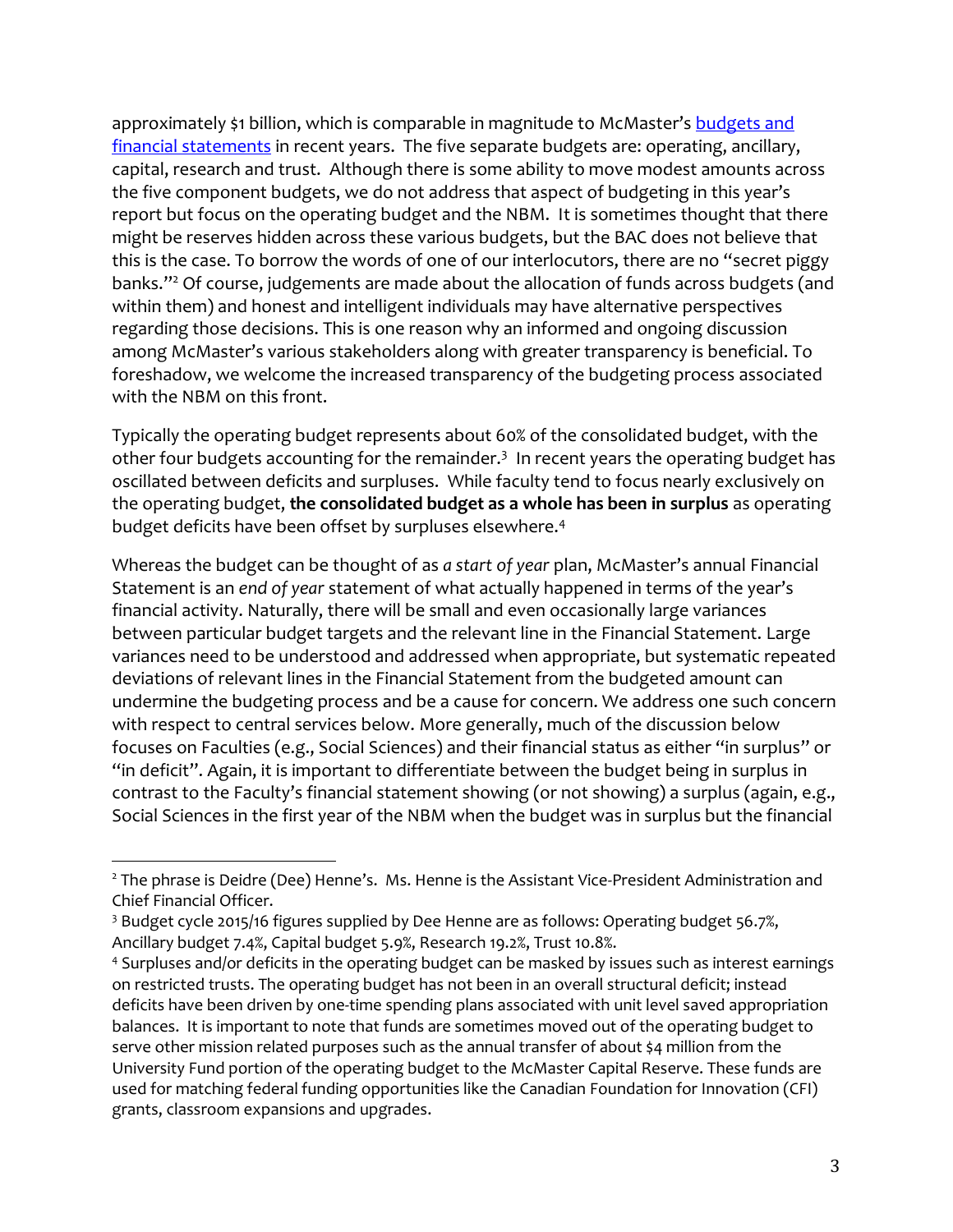approximately \$1 billion, which is comparable in magnitude to McMaster's budgets and [financial statements](http://mcmaster.ca/bms/BMS_Financial_Information.htm) in recent years. The five separate budgets are: operating, ancillary, capital, research and trust. Although there is some ability to move modest amounts across the five component budgets, we do not address that aspect of budgeting in this year's report but focus on the operating budget and the NBM. It is sometimes thought that there might be reserves hidden across these various budgets, but the BAC does not believe that this is the case. To borrow the words of one of our interlocutors, there are no "secret piggy banks." <sup>2</sup> Of course, judgements are made about the allocation of funds across budgets (and within them) and honest and intelligent individuals may have alternative perspectives regarding those decisions. This is one reason why an informed and ongoing discussion among McMaster's various stakeholders along with greater transparency is beneficial. To foreshadow, we welcome the increased transparency of the budgeting process associated with the NBM on this front.

Typically the operating budget represents about 60% of the consolidated budget, with the other four budgets accounting for the remainder.<sup>3</sup> In recent years the operating budget has oscillated between deficits and surpluses. While faculty tend to focus nearly exclusively on the operating budget, **the consolidated budget as a whole has been in surplus** as operating budget deficits have been offset by surpluses elsewhere. 4

Whereas the budget can be thought of as *a start of year* plan, McMaster's annual Financial Statement is an *end of year* statement of what actually happened in terms of the year's financial activity. Naturally, there will be small and even occasionally large variances between particular budget targets and the relevant line in the Financial Statement. Large variances need to be understood and addressed when appropriate, but systematic repeated deviations of relevant lines in the Financial Statement from the budgeted amount can undermine the budgeting process and be a cause for concern. We address one such concern with respect to central services below. More generally, much of the discussion below focuses on Faculties (e.g., Social Sciences) and their financial status as either "in surplus" or "in deficit". Again, it is important to differentiate between the budget being in surplus in contrast to the Faculty's financial statement showing (or not showing) a surplus (again, e.g., Social Sciences in the first year of the NBM when the budget was in surplus but the financial

 $\overline{a}$ 

<sup>&</sup>lt;sup>2</sup> The phrase is Deidre (Dee) Henne's. Ms. Henne is the Assistant Vice-President Administration and Chief Financial Officer.

<sup>&</sup>lt;sup>3</sup> Budget cycle 2015/16 figures supplied by Dee Henne are as follows: Operating budget 56.7%, Ancillary budget 7.4%, Capital budget 5.9%, Research 19.2%, Trust 10.8%.

<sup>4</sup> Surpluses and/or deficits in the operating budget can be masked by issues such as interest earnings on restricted trusts. The operating budget has not been in an overall structural deficit; instead deficits have been driven by one-time spending plans associated with unit level saved appropriation balances. It is important to note that funds are sometimes moved out of the operating budget to serve other mission related purposes such as the annual transfer of about \$4 million from the University Fund portion of the operating budget to the McMaster Capital Reserve. These funds are used for matching federal funding opportunities like the Canadian Foundation for Innovation (CFI) grants, classroom expansions and upgrades.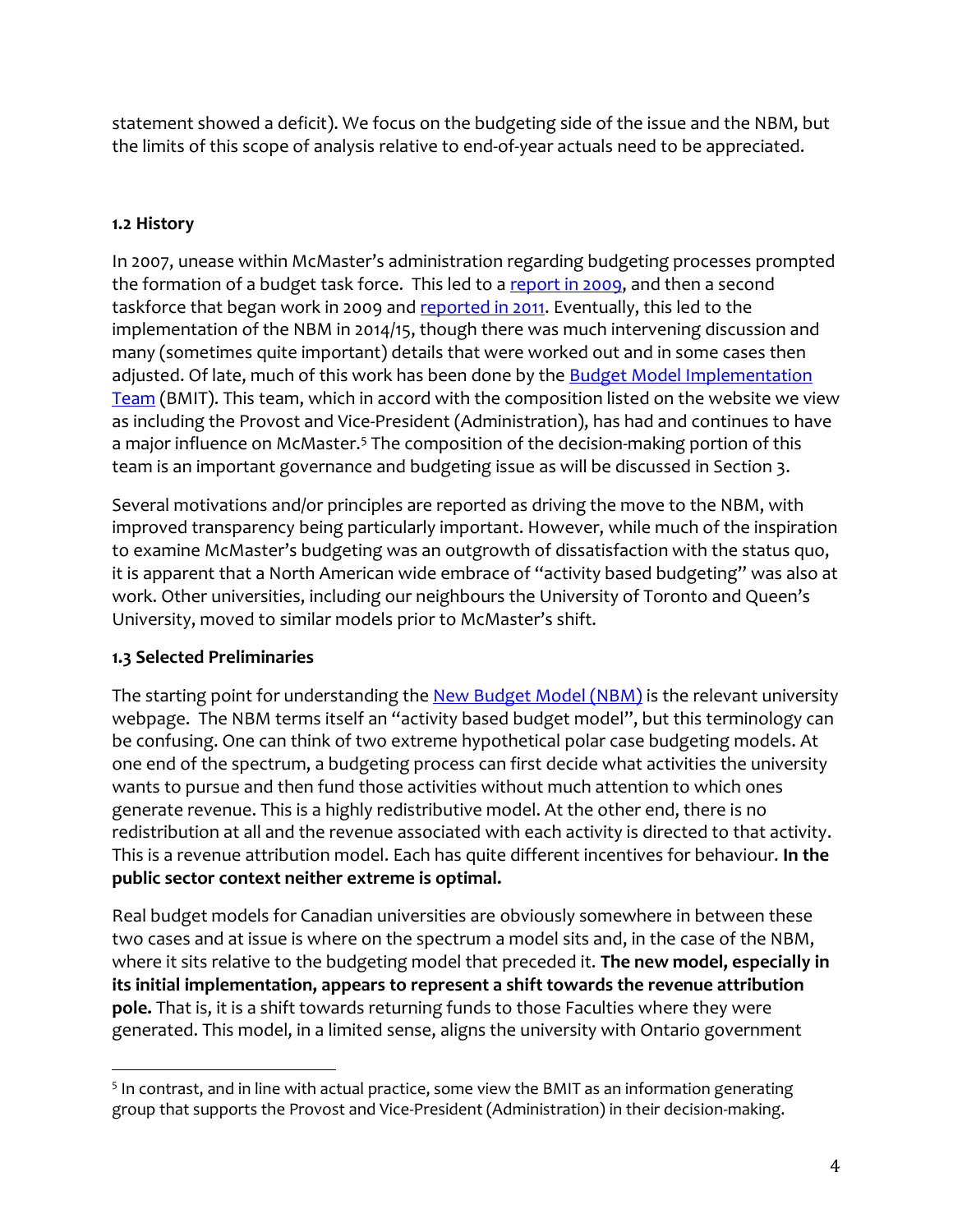statement showed a deficit). We focus on the budgeting side of the issue and the NBM, but the limits of this scope of analysis relative to end-of-year actuals need to be appreciated.

## **1.2 History**

In 2007, unease within McMaster's administration regarding budgeting processes prompted the formation of a budget task force. This led to [a report in 2009,](http://budgetmodel.mcmaster.ca/history/taskforce-one) and then a second taskforce that began work in 2009 and [reported in 2011.](http://budgetmodel.mcmaster.ca/history/taskforce-two) Eventually, this led to the implementation of the NBM in 2014/15, though there was much intervening discussion and many (sometimes quite important) details that were worked out and in some cases then adjusted. Of late, much of this work has been done by the Budget Model Implementation [Team](http://budgetmodel.mcmaster.ca/history/implementation-team) (BMIT). This team, which in accord with the composition listed on the website we view as including the Provost and Vice-President (Administration), has had and continues to have a major influence on McMaster.<sup>5</sup> The composition of the decision-making portion of this team is an important governance and budgeting issue as will be discussed in Section 3.

Several motivations and/or principles are reported as driving the move to the NBM, with improved transparency being particularly important. However, while much of the inspiration to examine McMaster's budgeting was an outgrowth of dissatisfaction with the status quo, it is apparent that a North American wide embrace of "activity based budgeting" was also at work. Other universities, including our neighbours the University of Toronto and Queen's University, moved to similar models prior to McMaster's shift.

## **1.3 Selected Preliminaries**

 $\overline{a}$ 

The starting point for understanding the [New Budget Model \(NBM\)](http://budgetmodel.mcmaster.ca/) is the relevant university webpage. The NBM terms itself an "activity based budget model", but this terminology can be confusing. One can think of two extreme hypothetical polar case budgeting models. At one end of the spectrum, a budgeting process can first decide what activities the university wants to pursue and then fund those activities without much attention to which ones generate revenue. This is a highly redistributive model. At the other end, there is no redistribution at all and the revenue associated with each activity is directed to that activity. This is a revenue attribution model. Each has quite different incentives for behaviour. **In the public sector context neither extreme is optimal.**

Real budget models for Canadian universities are obviously somewhere in between these two cases and at issue is where on the spectrum a model sits and, in the case of the NBM, where it sits relative to the budgeting model that preceded it. **The new model, especially in its initial implementation, appears to represent a shift towards the revenue attribution pole.** That is, it is a shift towards returning funds to those Faculties where they were generated. This model, in a limited sense, aligns the university with Ontario government

<sup>&</sup>lt;sup>5</sup> In contrast, and in line with actual practice, some view the BMIT as an information generating group that supports the Provost and Vice-President (Administration) in their decision-making.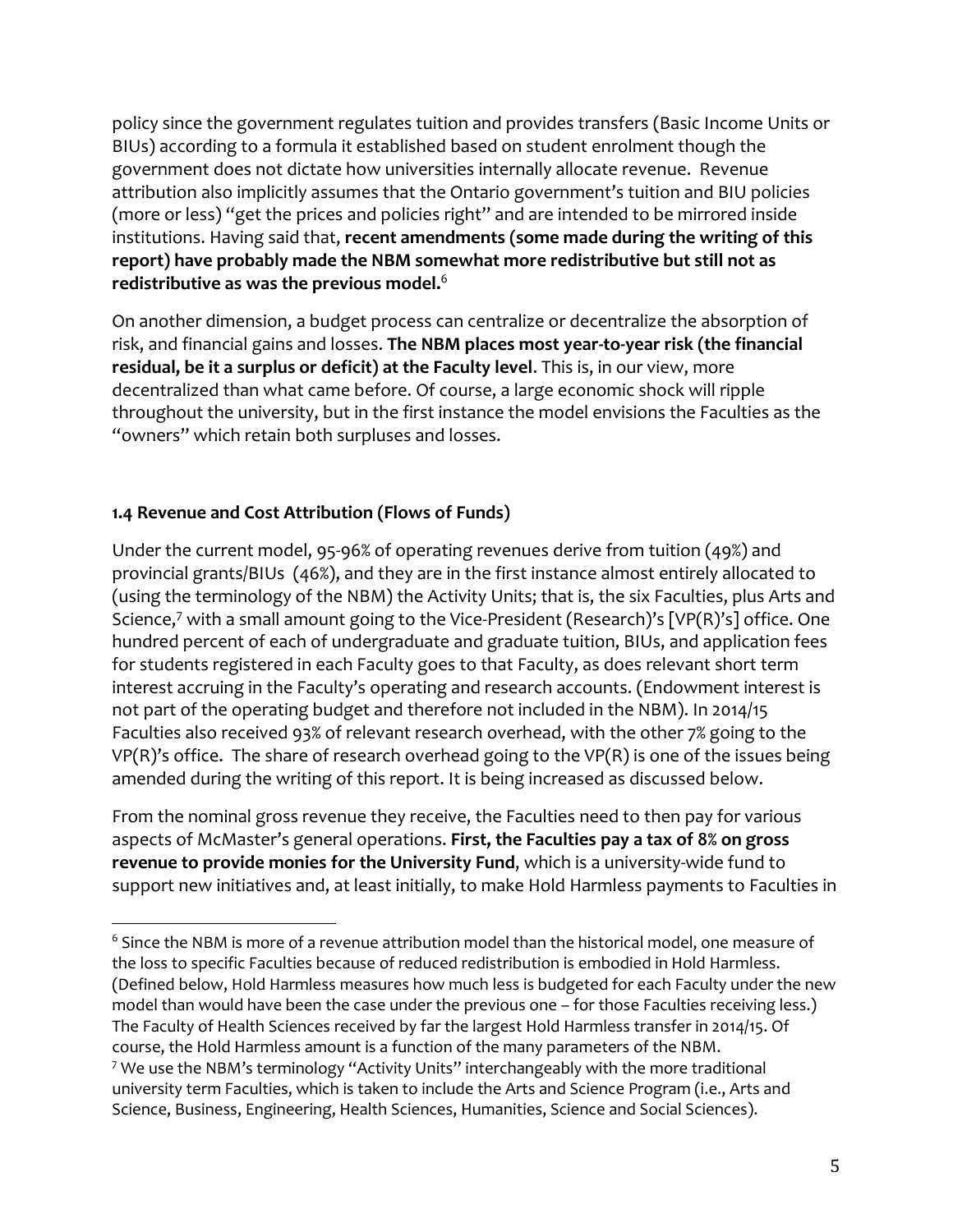policy since the government regulates tuition and provides transfers (Basic Income Units or BIUs) according to a formula it established based on student enrolment though the government does not dictate how universities internally allocate revenue. Revenue attribution also implicitly assumes that the Ontario government's tuition and BIU policies (more or less) "get the prices and policies right" and are intended to be mirrored inside institutions. Having said that, **recent amendments (some made during the writing of this report) have probably made the NBM somewhat more redistributive but still not as redistributive as was the previous model.** 6

On another dimension, a budget process can centralize or decentralize the absorption of risk, and financial gains and losses. **The NBM places most year-to-year risk (the financial residual, be it a surplus or deficit) at the Faculty level**. This is, in our view, more decentralized than what came before. Of course, a large economic shock will ripple throughout the university, but in the first instance the model envisions the Faculties as the "owners" which retain both surpluses and losses.

### **1.4 Revenue and Cost Attribution (Flows of Funds)**

l

Under the current model, 95-96% of operating revenues derive from tuition (49%) and provincial grants/BIUs (46%), and they are in the first instance almost entirely allocated to (using the terminology of the NBM) the Activity Units; that is, the six Faculties, plus Arts and Science, <sup>7</sup> with a small amount going to the Vice-President (Research)'s [VP(R)'s] office. One hundred percent of each of undergraduate and graduate tuition, BIUs, and application fees for students registered in each Faculty goes to that Faculty, as does relevant short term interest accruing in the Faculty's operating and research accounts. (Endowment interest is not part of the operating budget and therefore not included in the NBM). In 2014/15 Faculties also received 93% of relevant research overhead, with the other 7% going to the  $VP(R)$ 's office. The share of research overhead going to the  $VP(R)$  is one of the issues being amended during the writing of this report. It is being increased as discussed below.

From the nominal gross revenue they receive, the Faculties need to then pay for various aspects of McMaster's general operations. **First, the Faculties pay a tax of 8% on gross revenue to provide monies for the University Fund**, which is a university-wide fund to support new initiatives and, at least initially, to make Hold Harmless payments to Faculties in

<sup>&</sup>lt;sup>6</sup> Since the NBM is more of a revenue attribution model than the historical model, one measure of the loss to specific Faculties because of reduced redistribution is embodied in Hold Harmless. (Defined below, Hold Harmless measures how much less is budgeted for each Faculty under the new model than would have been the case under the previous one – for those Faculties receiving less.) The Faculty of Health Sciences received by far the largest Hold Harmless transfer in 2014/15. Of course, the Hold Harmless amount is a function of the many parameters of the NBM. <sup>7</sup> We use the NBM's terminology "Activity Units" interchangeably with the more traditional university term Faculties, which is taken to include the Arts and Science Program (i.e., Arts and Science, Business, Engineering, Health Sciences, Humanities, Science and Social Sciences).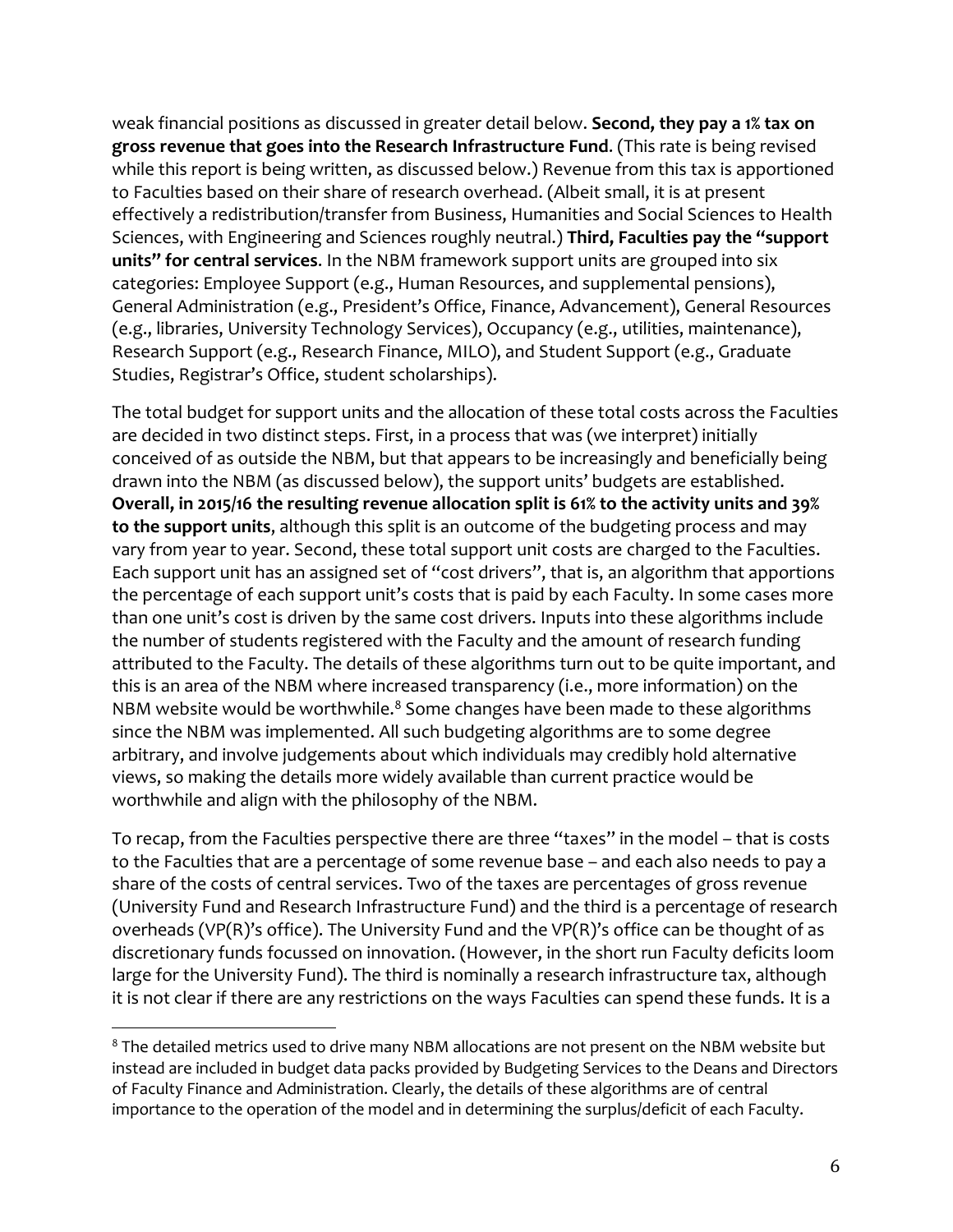weak financial positions as discussed in greater detail below. **Second, they pay a 1% tax on gross revenue that goes into the Research Infrastructure Fund**. (This rate is being revised while this report is being written, as discussed below.) Revenue from this tax is apportioned to Faculties based on their share of research overhead. (Albeit small, it is at present effectively a redistribution/transfer from Business, Humanities and Social Sciences to Health Sciences, with Engineering and Sciences roughly neutral.) **Third, Faculties pay the "support units" for central services**. In the NBM framework support units are grouped into six categories: Employee Support (e.g., Human Resources, and supplemental pensions), General Administration (e.g., President's Office, Finance, Advancement), General Resources (e.g., libraries, University Technology Services), Occupancy (e.g., utilities, maintenance), Research Support (e.g., Research Finance, MILO), and Student Support (e.g., Graduate Studies, Registrar's Office, student scholarships).

The total budget for support units and the allocation of these total costs across the Faculties are decided in two distinct steps. First, in a process that was (we interpret) initially conceived of as outside the NBM, but that appears to be increasingly and beneficially being drawn into the NBM (as discussed below), the support units' budgets are established. **Overall, in 2015/16 the resulting revenue allocation split is 61% to the activity units and 39% to the support units**, although this split is an outcome of the budgeting process and may vary from year to year. Second, these total support unit costs are charged to the Faculties. Each support unit has an assigned set of "cost drivers", that is, an algorithm that apportions the percentage of each support unit's costs that is paid by each Faculty. In some cases more than one unit's cost is driven by the same cost drivers. Inputs into these algorithms include the number of students registered with the Faculty and the amount of research funding attributed to the Faculty. The details of these algorithms turn out to be quite important, and this is an area of the NBM where increased transparency (i.e., more information) on the NBM website would be worthwhile. $8$  Some changes have been made to these algorithms since the NBM was implemented. All such budgeting algorithms are to some degree arbitrary, and involve judgements about which individuals may credibly hold alternative views, so making the details more widely available than current practice would be worthwhile and align with the philosophy of the NBM.

To recap, from the Faculties perspective there are three "taxes" in the model – that is costs to the Faculties that are a percentage of some revenue base – and each also needs to pay a share of the costs of central services. Two of the taxes are percentages of gross revenue (University Fund and Research Infrastructure Fund) and the third is a percentage of research overheads (VP(R)'s office). The University Fund and the VP(R)'s office can be thought of as discretionary funds focussed on innovation. (However, in the short run Faculty deficits loom large for the University Fund). The third is nominally a research infrastructure tax, although it is not clear if there are any restrictions on the ways Faculties can spend these funds. It is a

l

<sup>&</sup>lt;sup>8</sup> The detailed metrics used to drive many NBM allocations are not present on the NBM website but instead are included in budget data packs provided by Budgeting Services to the Deans and Directors of Faculty Finance and Administration. Clearly, the details of these algorithms are of central importance to the operation of the model and in determining the surplus/deficit of each Faculty.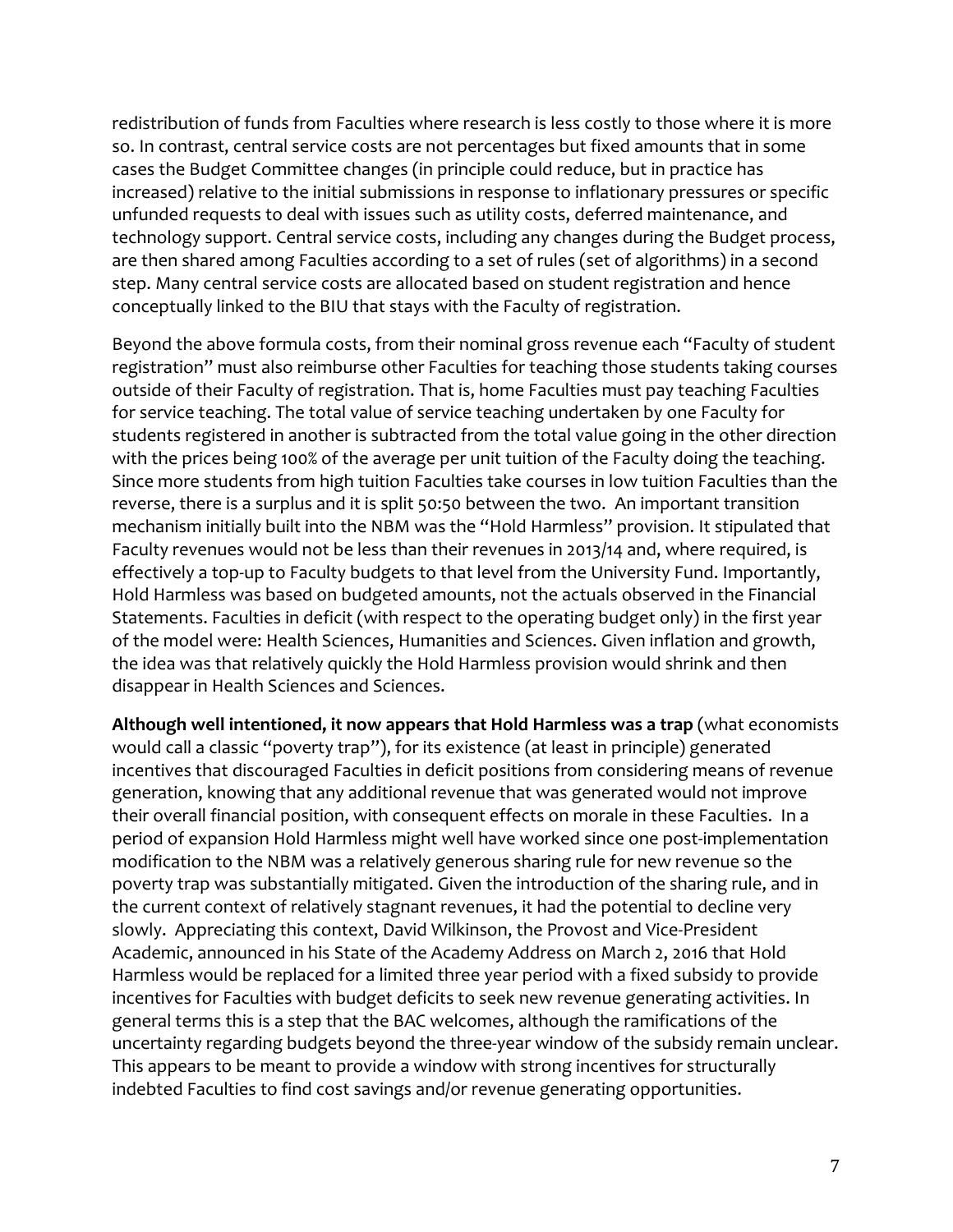redistribution of funds from Faculties where research is less costly to those where it is more so. In contrast, central service costs are not percentages but fixed amounts that in some cases the Budget Committee changes (in principle could reduce, but in practice has increased) relative to the initial submissions in response to inflationary pressures or specific unfunded requests to deal with issues such as utility costs, deferred maintenance, and technology support. Central service costs, including any changes during the Budget process, are then shared among Faculties according to a set of rules (set of algorithms) in a second step. Many central service costs are allocated based on student registration and hence conceptually linked to the BIU that stays with the Faculty of registration.

Beyond the above formula costs, from their nominal gross revenue each "Faculty of student registration" must also reimburse other Faculties for teaching those students taking courses outside of their Faculty of registration. That is, home Faculties must pay teaching Faculties for service teaching. The total value of service teaching undertaken by one Faculty for students registered in another is subtracted from the total value going in the other direction with the prices being 100% of the average per unit tuition of the Faculty doing the teaching. Since more students from high tuition Faculties take courses in low tuition Faculties than the reverse, there is a surplus and it is split 50:50 between the two. An important transition mechanism initially built into the NBM was the "Hold Harmless" provision. It stipulated that Faculty revenues would not be less than their revenues in 2013/14 and, where required, is effectively a top-up to Faculty budgets to that level from the University Fund. Importantly, Hold Harmless was based on budgeted amounts, not the actuals observed in the Financial Statements. Faculties in deficit (with respect to the operating budget only) in the first year of the model were: Health Sciences, Humanities and Sciences. Given inflation and growth, the idea was that relatively quickly the Hold Harmless provision would shrink and then disappear in Health Sciences and Sciences.

**Although well intentioned, it now appears that Hold Harmless was a trap** (what economists would call a classic "poverty trap"), for its existence (at least in principle) generated incentives that discouraged Faculties in deficit positions from considering means of revenue generation, knowing that any additional revenue that was generated would not improve their overall financial position, with consequent effects on morale in these Faculties. In a period of expansion Hold Harmless might well have worked since one post-implementation modification to the NBM was a relatively generous sharing rule for new revenue so the poverty trap was substantially mitigated. Given the introduction of the sharing rule, and in the current context of relatively stagnant revenues, it had the potential to decline very slowly. Appreciating this context, David Wilkinson, the Provost and Vice-President Academic, announced in his State of the Academy Address on March 2, 2016 that Hold Harmless would be replaced for a limited three year period with a fixed subsidy to provide incentives for Faculties with budget deficits to seek new revenue generating activities. In general terms this is a step that the BAC welcomes, although the ramifications of the uncertainty regarding budgets beyond the three-year window of the subsidy remain unclear. This appears to be meant to provide a window with strong incentives for structurally indebted Faculties to find cost savings and/or revenue generating opportunities.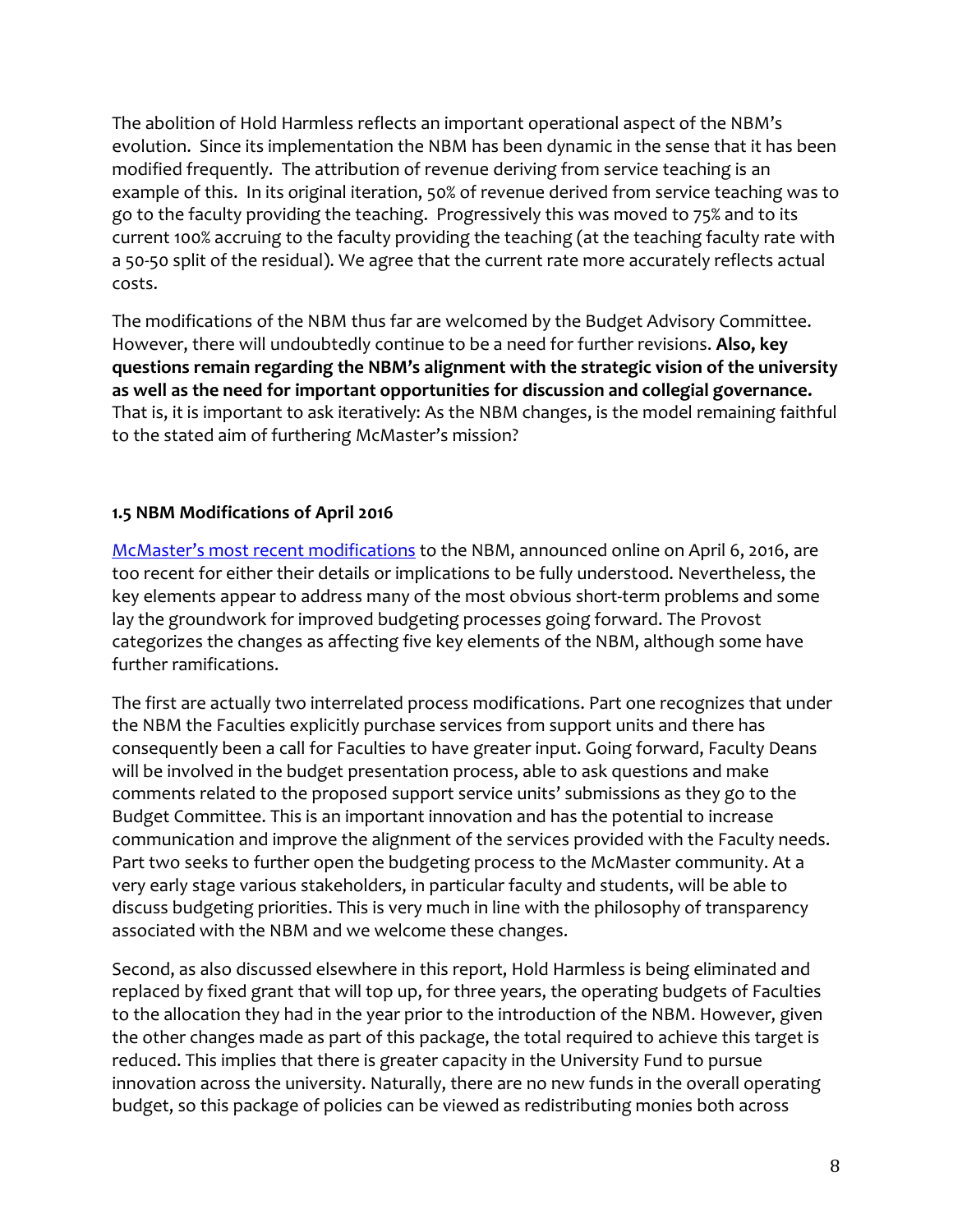The abolition of Hold Harmless reflects an important operational aspect of the NBM's evolution. Since its implementation the NBM has been dynamic in the sense that it has been modified frequently. The attribution of revenue deriving from service teaching is an example of this. In its original iteration, 50% of revenue derived from service teaching was to go to the faculty providing the teaching. Progressively this was moved to 75% and to its current 100% accruing to the faculty providing the teaching (at the teaching faculty rate with a 50-50 split of the residual). We agree that the current rate more accurately reflects actual costs.

The modifications of the NBM thus far are welcomed by the Budget Advisory Committee. However, there will undoubtedly continue to be a need for further revisions. **Also, key questions remain regarding the NBM's alignment with the strategic vision of the university as well as the need for important opportunities for discussion and collegial governance.** That is, it is important to ask iteratively: As the NBM changes, is the model remaining faithful to the stated aim of furthering McMaster's mission?

### **1.5 NBM Modifications of April 2016**

McMaster's most recent [modifications](http://www.mcmaster.ca/vpacademic/documents/Budget%20Model%202016%20update%20public.pdf) to the NBM, announced online on April 6, 2016, are too recent for either their details or implications to be fully understood. Nevertheless, the key elements appear to address many of the most obvious short-term problems and some lay the groundwork for improved budgeting processes going forward. The Provost categorizes the changes as affecting five key elements of the NBM, although some have further ramifications.

The first are actually two interrelated process modifications. Part one recognizes that under the NBM the Faculties explicitly purchase services from support units and there has consequently been a call for Faculties to have greater input. Going forward, Faculty Deans will be involved in the budget presentation process, able to ask questions and make comments related to the proposed support service units' submissions as they go to the Budget Committee. This is an important innovation and has the potential to increase communication and improve the alignment of the services provided with the Faculty needs. Part two seeks to further open the budgeting process to the McMaster community. At a very early stage various stakeholders, in particular faculty and students, will be able to discuss budgeting priorities. This is very much in line with the philosophy of transparency associated with the NBM and we welcome these changes.

Second, as also discussed elsewhere in this report, Hold Harmless is being eliminated and replaced by fixed grant that will top up, for three years, the operating budgets of Faculties to the allocation they had in the year prior to the introduction of the NBM. However, given the other changes made as part of this package, the total required to achieve this target is reduced. This implies that there is greater capacity in the University Fund to pursue innovation across the university. Naturally, there are no new funds in the overall operating budget, so this package of policies can be viewed as redistributing monies both across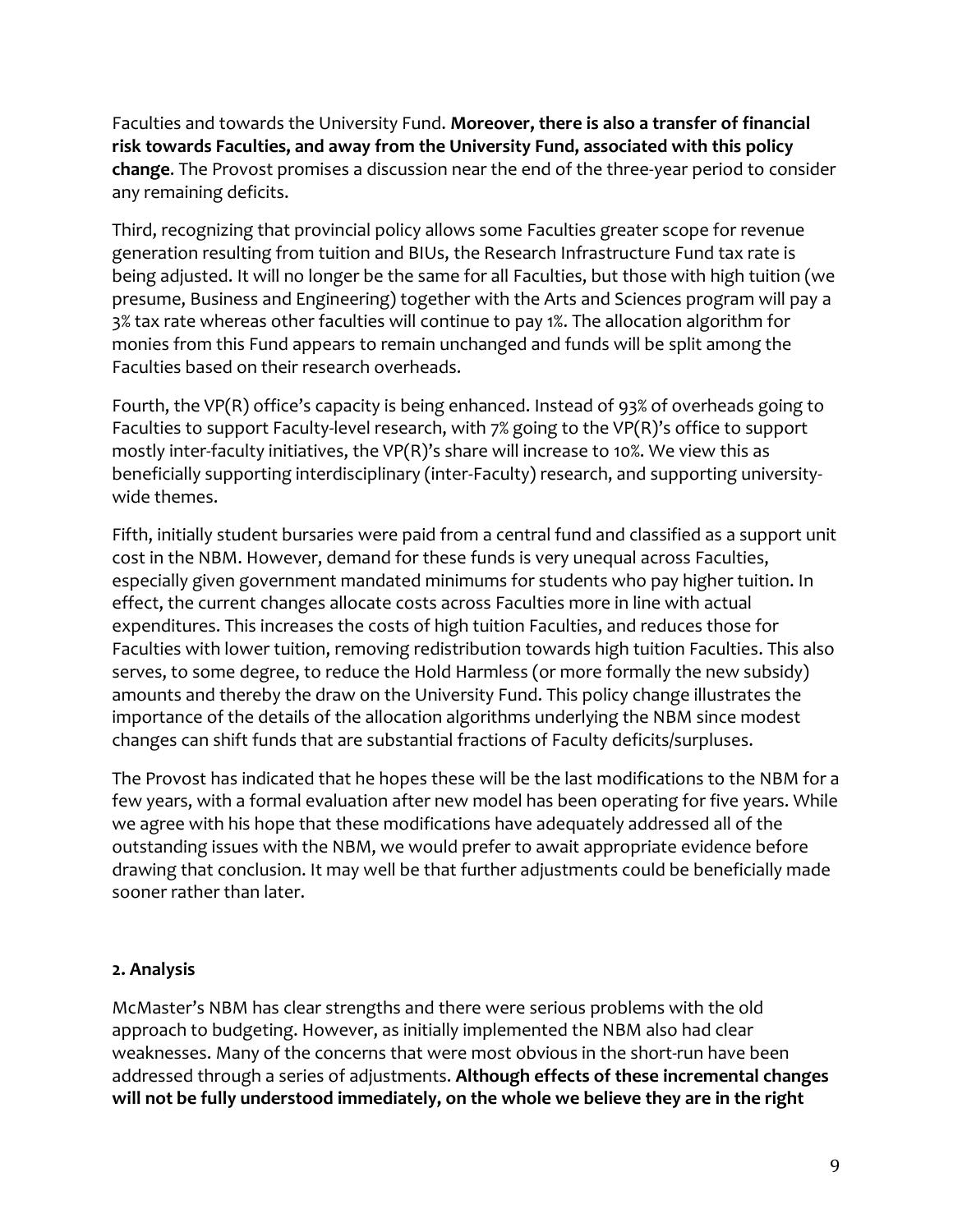Faculties and towards the University Fund. **Moreover, there is also a transfer of financial risk towards Faculties, and away from the University Fund, associated with this policy change**. The Provost promises a discussion near the end of the three-year period to consider any remaining deficits.

Third, recognizing that provincial policy allows some Faculties greater scope for revenue generation resulting from tuition and BIUs, the Research Infrastructure Fund tax rate is being adjusted. It will no longer be the same for all Faculties, but those with high tuition (we presume, Business and Engineering) together with the Arts and Sciences program will pay a 3% tax rate whereas other faculties will continue to pay 1%. The allocation algorithm for monies from this Fund appears to remain unchanged and funds will be split among the Faculties based on their research overheads.

Fourth, the VP(R) office's capacity is being enhanced. Instead of 93% of overheads going to Faculties to support Faculty-level research, with 7% going to the VP(R)'s office to support mostly inter-faculty initiatives, the VP(R)'s share will increase to 10%. We view this as beneficially supporting interdisciplinary (inter-Faculty) research, and supporting universitywide themes.

Fifth, initially student bursaries were paid from a central fund and classified as a support unit cost in the NBM. However, demand for these funds is very unequal across Faculties, especially given government mandated minimums for students who pay higher tuition. In effect, the current changes allocate costs across Faculties more in line with actual expenditures. This increases the costs of high tuition Faculties, and reduces those for Faculties with lower tuition, removing redistribution towards high tuition Faculties. This also serves, to some degree, to reduce the Hold Harmless (or more formally the new subsidy) amounts and thereby the draw on the University Fund. This policy change illustrates the importance of the details of the allocation algorithms underlying the NBM since modest changes can shift funds that are substantial fractions of Faculty deficits/surpluses.

The Provost has indicated that he hopes these will be the last modifications to the NBM for a few years, with a formal evaluation after new model has been operating for five years. While we agree with his hope that these modifications have adequately addressed all of the outstanding issues with the NBM, we would prefer to await appropriate evidence before drawing that conclusion. It may well be that further adjustments could be beneficially made sooner rather than later.

#### **2. Analysis**

McMaster's NBM has clear strengths and there were serious problems with the old approach to budgeting. However, as initially implemented the NBM also had clear weaknesses. Many of the concerns that were most obvious in the short-run have been addressed through a series of adjustments. **Although effects of these incremental changes will not be fully understood immediately, on the whole we believe they are in the right**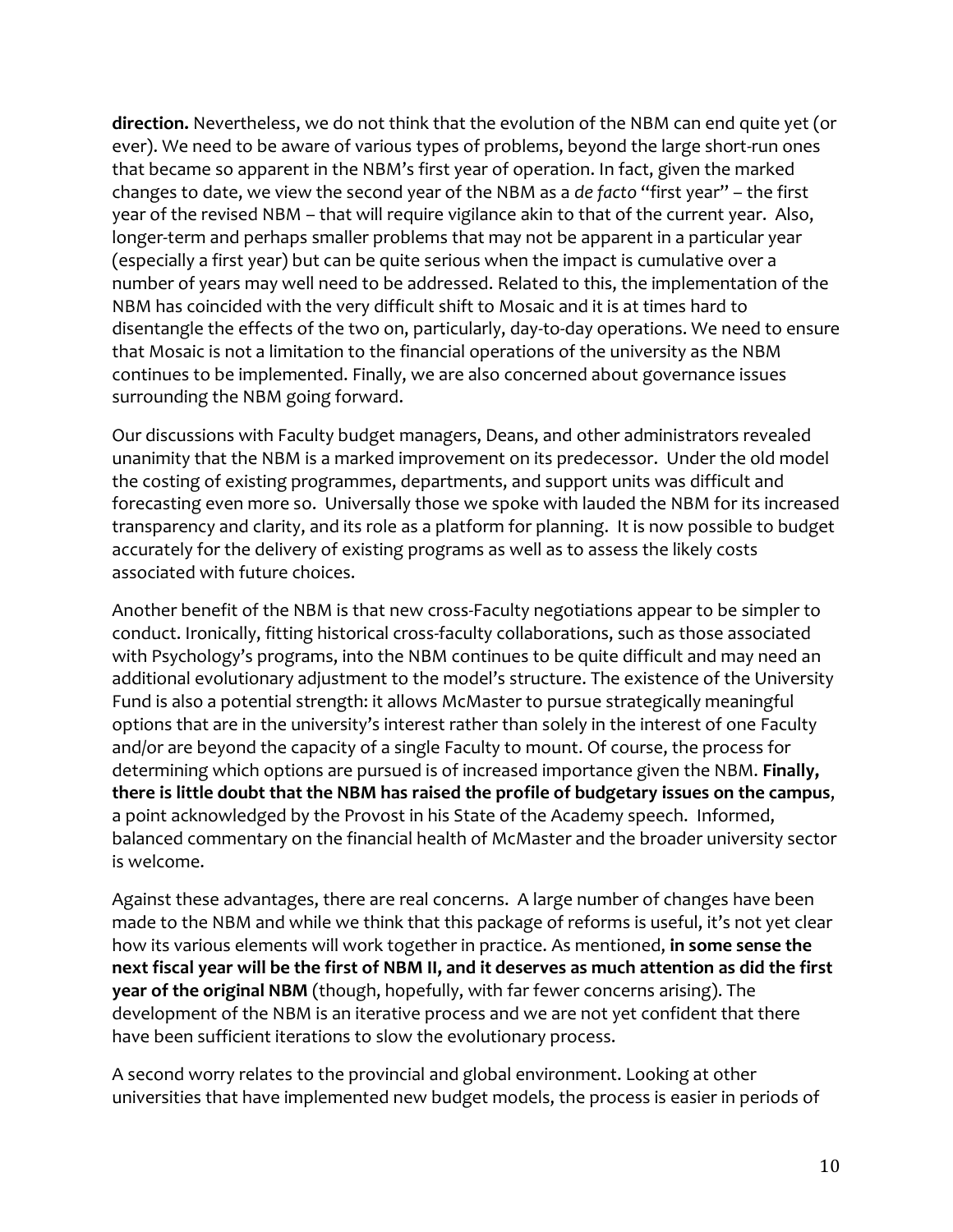**direction.** Nevertheless, we do not think that the evolution of the NBM can end quite yet (or ever). We need to be aware of various types of problems, beyond the large short-run ones that became so apparent in the NBM's first year of operation. In fact, given the marked changes to date, we view the second year of the NBM as a *de facto* "first year" – the first year of the revised NBM – that will require vigilance akin to that of the current year. Also, longer-term and perhaps smaller problems that may not be apparent in a particular year (especially a first year) but can be quite serious when the impact is cumulative over a number of years may well need to be addressed. Related to this, the implementation of the NBM has coincided with the very difficult shift to Mosaic and it is at times hard to disentangle the effects of the two on, particularly, day-to-day operations. We need to ensure that Mosaic is not a limitation to the financial operations of the university as the NBM continues to be implemented. Finally, we are also concerned about governance issues surrounding the NBM going forward.

Our discussions with Faculty budget managers, Deans, and other administrators revealed unanimity that the NBM is a marked improvement on its predecessor. Under the old model the costing of existing programmes, departments, and support units was difficult and forecasting even more so. Universally those we spoke with lauded the NBM for its increased transparency and clarity, and its role as a platform for planning. It is now possible to budget accurately for the delivery of existing programs as well as to assess the likely costs associated with future choices.

Another benefit of the NBM is that new cross-Faculty negotiations appear to be simpler to conduct. Ironically, fitting historical cross-faculty collaborations, such as those associated with Psychology's programs, into the NBM continues to be quite difficult and may need an additional evolutionary adjustment to the model's structure. The existence of the University Fund is also a potential strength: it allows McMaster to pursue strategically meaningful options that are in the university's interest rather than solely in the interest of one Faculty and/or are beyond the capacity of a single Faculty to mount. Of course, the process for determining which options are pursued is of increased importance given the NBM. **Finally, there is little doubt that the NBM has raised the profile of budgetary issues on the campus**, a point acknowledged by the Provost in his State of the Academy speech. Informed, balanced commentary on the financial health of McMaster and the broader university sector is welcome.

Against these advantages, there are real concerns. A large number of changes have been made to the NBM and while we think that this package of reforms is useful, it's not yet clear how its various elements will work together in practice. As mentioned, **in some sense the next fiscal year will be the first of NBM II, and it deserves as much attention as did the first year of the original NBM** (though, hopefully, with far fewer concerns arising). The development of the NBM is an iterative process and we are not yet confident that there have been sufficient iterations to slow the evolutionary process.

A second worry relates to the provincial and global environment. Looking at other universities that have implemented new budget models, the process is easier in periods of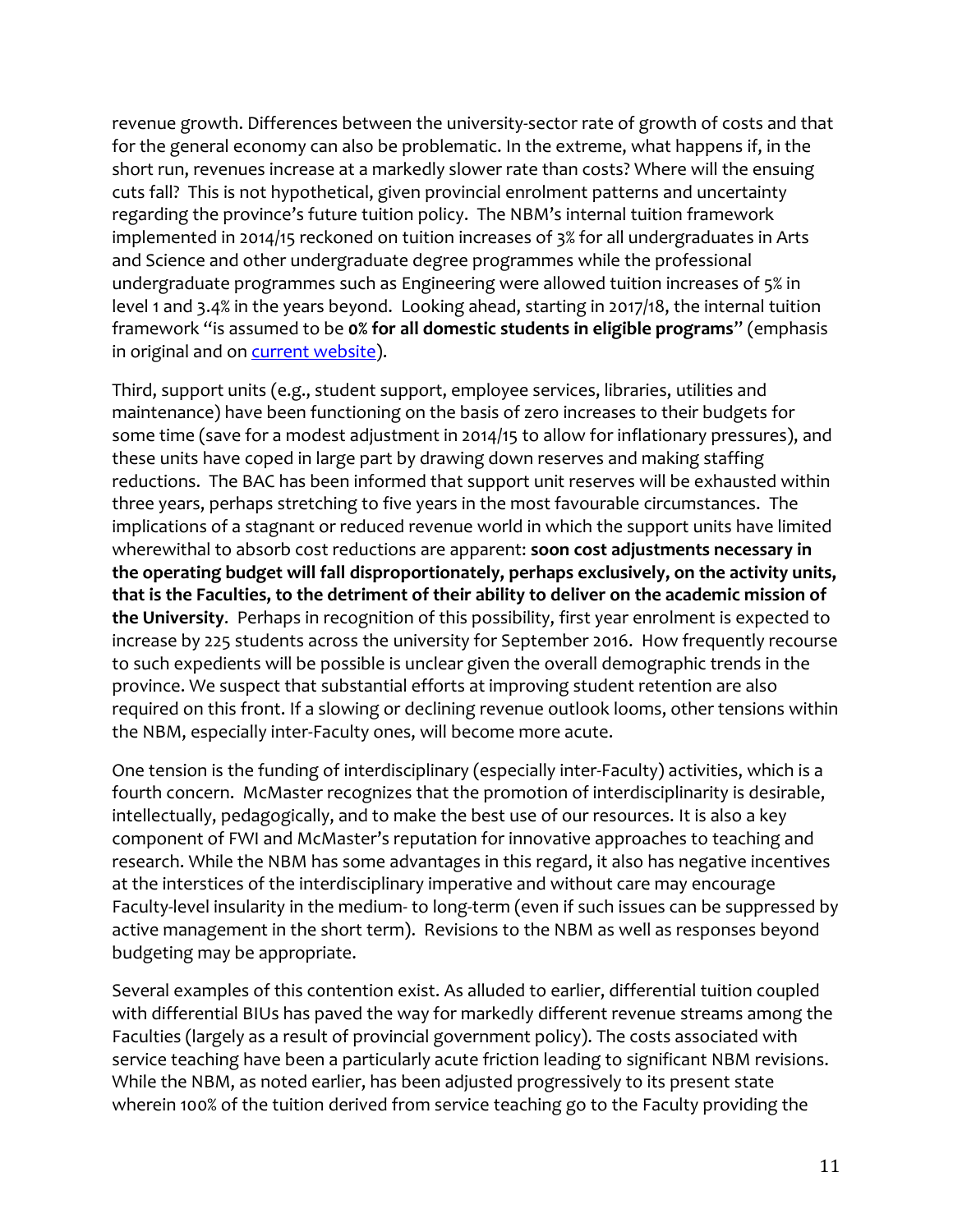revenue growth. Differences between the university-sector rate of growth of costs and that for the general economy can also be problematic. In the extreme, what happens if, in the short run, revenues increase at a markedly slower rate than costs? Where will the ensuing cuts fall? This is not hypothetical, given provincial enrolment patterns and uncertainty regarding the province's future tuition policy. The NBM's internal tuition framework implemented in 2014/15 reckoned on tuition increases of 3% for all undergraduates in Arts and Science and other undergraduate degree programmes while the professional undergraduate programmes such as Engineering were allowed tuition increases of 5% in level 1 and 3.4% in the years beyond. Looking ahead, starting in 2017/18, the internal tuition framework "is assumed to be **0% for all domestic students in eligible programs**" (emphasis in original and on [current website\)](http://budgetmodel.mcmaster.ca/cycles/projection-assumptions).

Third, support units (e.g., student support, employee services, libraries, utilities and maintenance) have been functioning on the basis of zero increases to their budgets for some time (save for a modest adjustment in 2014/15 to allow for inflationary pressures), and these units have coped in large part by drawing down reserves and making staffing reductions. The BAC has been informed that support unit reserves will be exhausted within three years, perhaps stretching to five years in the most favourable circumstances. The implications of a stagnant or reduced revenue world in which the support units have limited wherewithal to absorb cost reductions are apparent: **soon cost adjustments necessary in the operating budget will fall disproportionately, perhaps exclusively, on the activity units, that is the Faculties, to the detriment of their ability to deliver on the academic mission of the University**. Perhaps in recognition of this possibility, first year enrolment is expected to increase by 225 students across the university for September 2016. How frequently recourse to such expedients will be possible is unclear given the overall demographic trends in the province. We suspect that substantial efforts at improving student retention are also required on this front. If a slowing or declining revenue outlook looms, other tensions within the NBM, especially inter-Faculty ones, will become more acute.

One tension is the funding of interdisciplinary (especially inter-Faculty) activities, which is a fourth concern. McMaster recognizes that the promotion of interdisciplinarity is desirable, intellectually, pedagogically, and to make the best use of our resources. It is also a key component of FWI and McMaster's reputation for innovative approaches to teaching and research. While the NBM has some advantages in this regard, it also has negative incentives at the interstices of the interdisciplinary imperative and without care may encourage Faculty-level insularity in the medium- to long-term (even if such issues can be suppressed by active management in the short term). Revisions to the NBM as well as responses beyond budgeting may be appropriate.

Several examples of this contention exist. As alluded to earlier, differential tuition coupled with differential BIUs has paved the way for markedly different revenue streams among the Faculties (largely as a result of provincial government policy). The costs associated with service teaching have been a particularly acute friction leading to significant NBM revisions. While the NBM, as noted earlier, has been adjusted progressively to its present state wherein 100% of the tuition derived from service teaching go to the Faculty providing the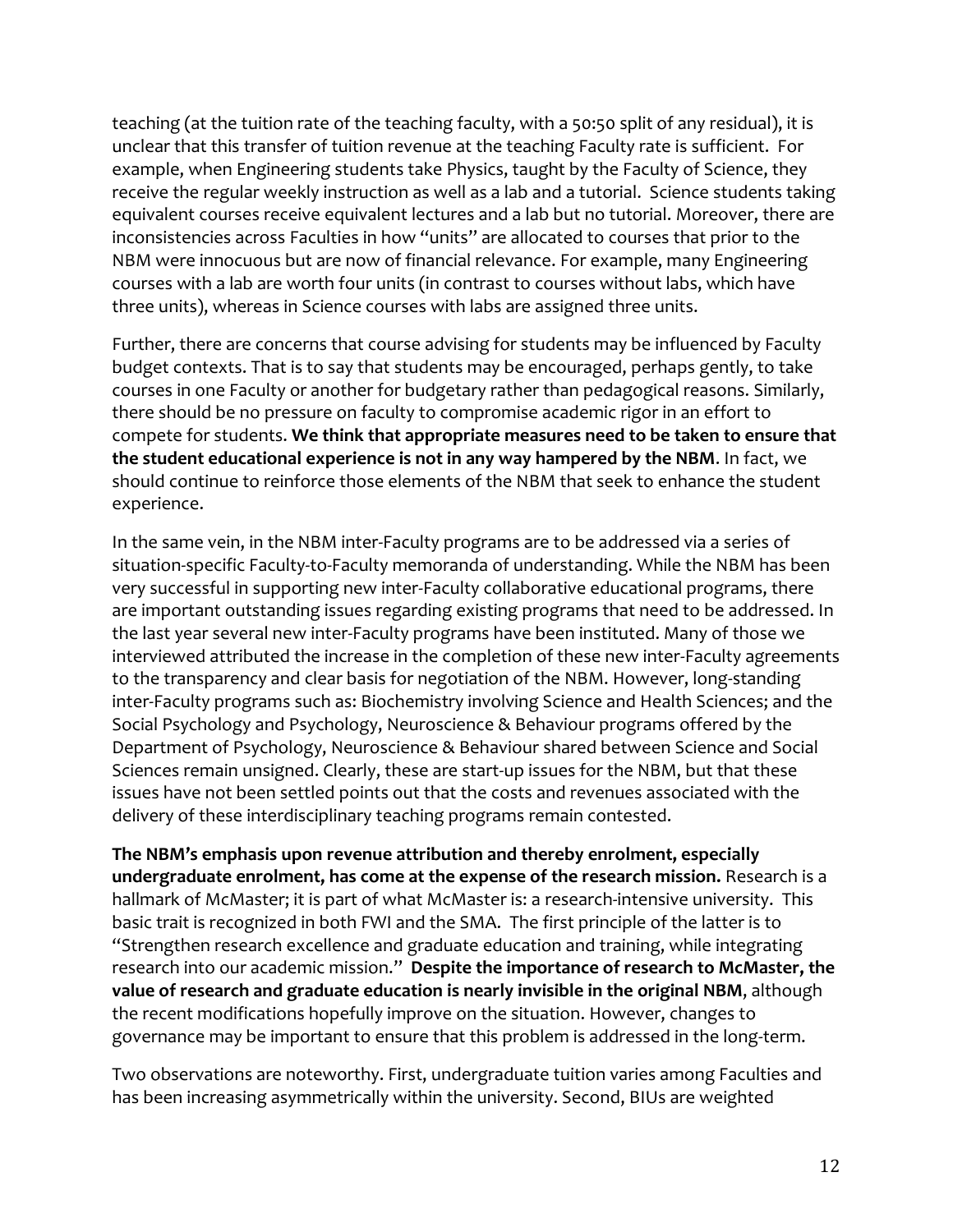teaching (at the tuition rate of the teaching faculty, with a 50:50 split of any residual), it is unclear that this transfer of tuition revenue at the teaching Faculty rate is sufficient. For example, when Engineering students take Physics, taught by the Faculty of Science, they receive the regular weekly instruction as well as a lab and a tutorial. Science students taking equivalent courses receive equivalent lectures and a lab but no tutorial. Moreover, there are inconsistencies across Faculties in how "units" are allocated to courses that prior to the NBM were innocuous but are now of financial relevance. For example, many Engineering courses with a lab are worth four units (in contrast to courses without labs, which have three units), whereas in Science courses with labs are assigned three units.

Further, there are concerns that course advising for students may be influenced by Faculty budget contexts. That is to say that students may be encouraged, perhaps gently, to take courses in one Faculty or another for budgetary rather than pedagogical reasons. Similarly, there should be no pressure on faculty to compromise academic rigor in an effort to compete for students. **We think that appropriate measures need to be taken to ensure that the student educational experience is not in any way hampered by the NBM**. In fact, we should continue to reinforce those elements of the NBM that seek to enhance the student experience.

In the same vein, in the NBM inter-Faculty programs are to be addressed via a series of situation-specific Faculty-to-Faculty memoranda of understanding. While the NBM has been very successful in supporting new inter-Faculty collaborative educational programs, there are important outstanding issues regarding existing programs that need to be addressed. In the last year several new inter-Faculty programs have been instituted. Many of those we interviewed attributed the increase in the completion of these new inter-Faculty agreements to the transparency and clear basis for negotiation of the NBM. However, long-standing inter-Faculty programs such as: Biochemistry involving Science and Health Sciences; and the Social Psychology and Psychology, Neuroscience & Behaviour programs offered by the Department of Psychology, Neuroscience & Behaviour shared between Science and Social Sciences remain unsigned. Clearly, these are start-up issues for the NBM, but that these issues have not been settled points out that the costs and revenues associated with the delivery of these interdisciplinary teaching programs remain contested.

**The NBM's emphasis upon revenue attribution and thereby enrolment, especially undergraduate enrolment, has come at the expense of the research mission.** Research is a hallmark of McMaster; it is part of what McMaster is: a research-intensive university. This basic trait is recognized in both FWI and the SMA. The first principle of the latter is to "Strengthen research excellence and graduate education and training, while integrating research into our academic mission." **Despite the importance of research to McMaster, the value of research and graduate education is nearly invisible in the original NBM**, although the recent modifications hopefully improve on the situation. However, changes to governance may be important to ensure that this problem is addressed in the long-term.

Two observations are noteworthy. First, undergraduate tuition varies among Faculties and has been increasing asymmetrically within the university. Second, BIUs are weighted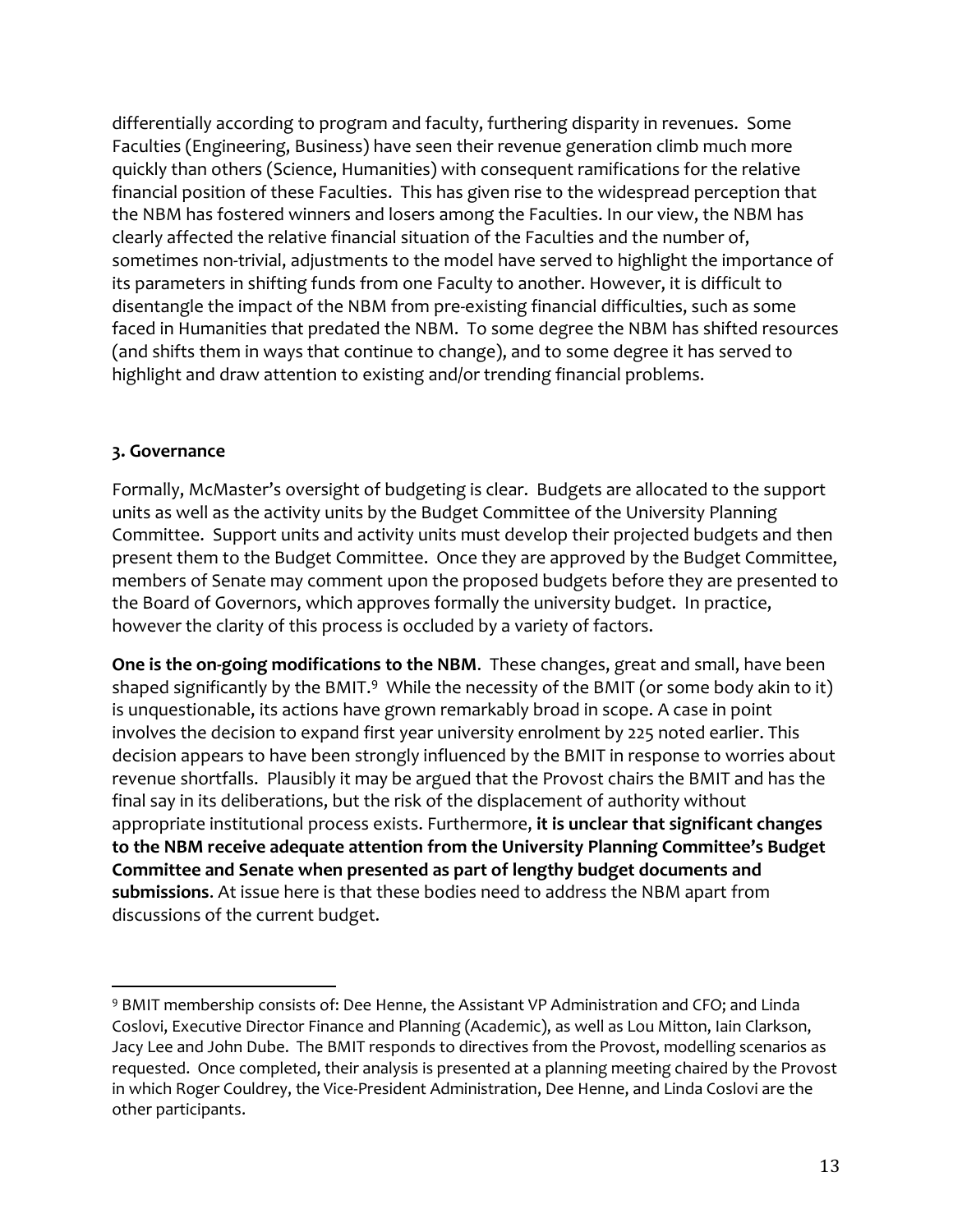differentially according to program and faculty, furthering disparity in revenues. Some Faculties (Engineering, Business) have seen their revenue generation climb much more quickly than others (Science, Humanities) with consequent ramifications for the relative financial position of these Faculties. This has given rise to the widespread perception that the NBM has fostered winners and losers among the Faculties. In our view, the NBM has clearly affected the relative financial situation of the Faculties and the number of, sometimes non-trivial, adjustments to the model have served to highlight the importance of its parameters in shifting funds from one Faculty to another. However, it is difficult to disentangle the impact of the NBM from pre-existing financial difficulties, such as some faced in Humanities that predated the NBM. To some degree the NBM has shifted resources (and shifts them in ways that continue to change), and to some degree it has served to highlight and draw attention to existing and/or trending financial problems.

#### **3. Governance**

 $\overline{a}$ 

Formally, McMaster's oversight of budgeting is clear. Budgets are allocated to the support units as well as the activity units by the Budget Committee of the University Planning Committee. Support units and activity units must develop their projected budgets and then present them to the Budget Committee. Once they are approved by the Budget Committee, members of Senate may comment upon the proposed budgets before they are presented to the Board of Governors, which approves formally the university budget. In practice, however the clarity of this process is occluded by a variety of factors.

**One is the on-going modifications to the NBM**. These changes, great and small, have been shaped significantly by the BMIT. $9\,$  While the necessity of the BMIT (or some body akin to it) is unquestionable, its actions have grown remarkably broad in scope. A case in point involves the decision to expand first year university enrolment by 225 noted earlier. This decision appears to have been strongly influenced by the BMIT in response to worries about revenue shortfalls. Plausibly it may be argued that the Provost chairs the BMIT and has the final say in its deliberations, but the risk of the displacement of authority without appropriate institutional process exists. Furthermore, **it is unclear that significant changes to the NBM receive adequate attention from the University Planning Committee's Budget Committee and Senate when presented as part of lengthy budget documents and submissions**. At issue here is that these bodies need to address the NBM apart from discussions of the current budget.

<sup>9</sup> BMIT membership consists of: Dee Henne, the Assistant VP Administration and CFO; and Linda Coslovi, Executive Director Finance and Planning (Academic), as well as Lou Mitton, Iain Clarkson, Jacy Lee and John Dube. The BMIT responds to directives from the Provost, modelling scenarios as requested. Once completed, their analysis is presented at a planning meeting chaired by the Provost in which Roger Couldrey, the Vice-President Administration, Dee Henne, and Linda Coslovi are the other participants.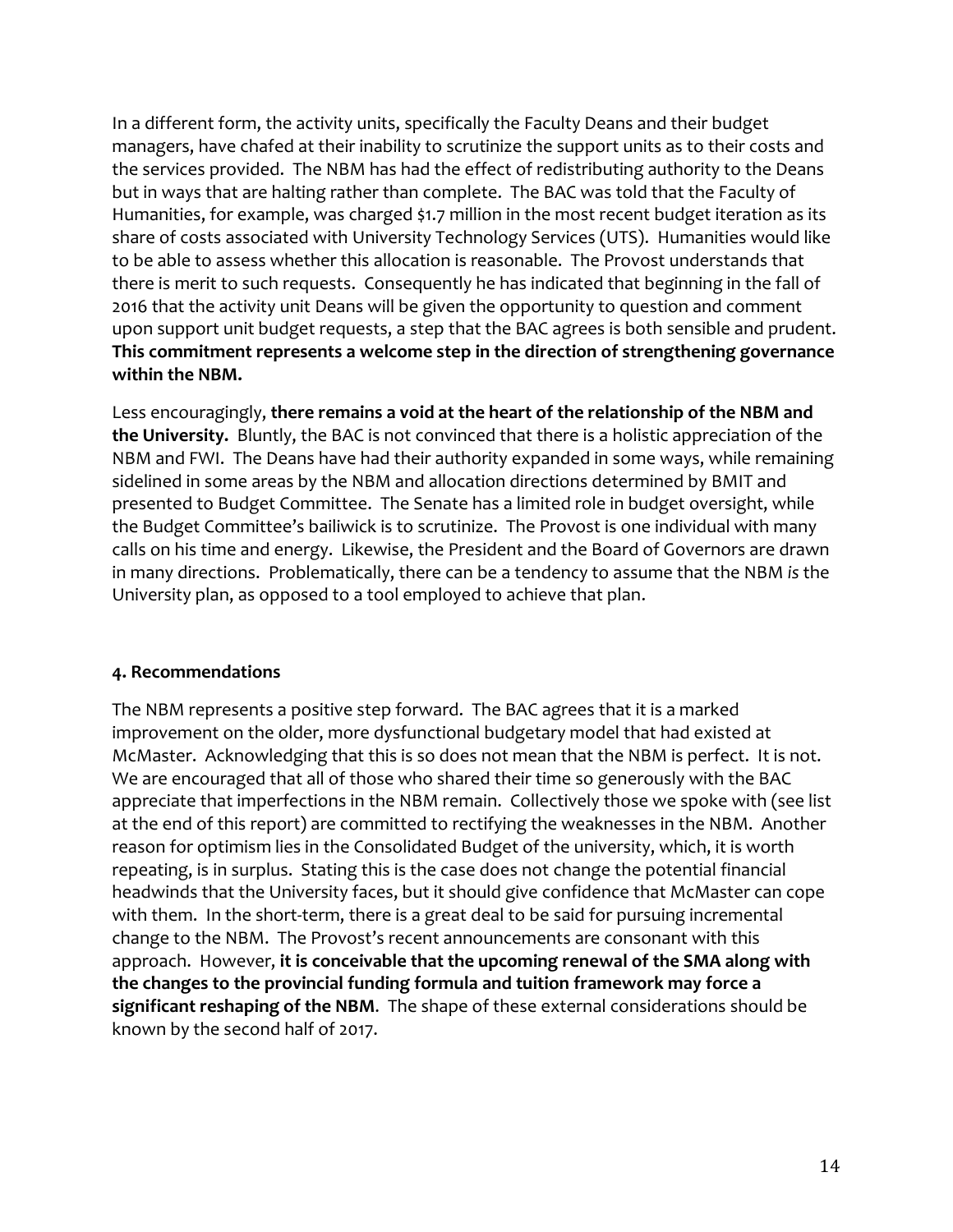In a different form, the activity units, specifically the Faculty Deans and their budget managers, have chafed at their inability to scrutinize the support units as to their costs and the services provided. The NBM has had the effect of redistributing authority to the Deans but in ways that are halting rather than complete. The BAC was told that the Faculty of Humanities, for example, was charged \$1.7 million in the most recent budget iteration as its share of costs associated with University Technology Services (UTS). Humanities would like to be able to assess whether this allocation is reasonable. The Provost understands that there is merit to such requests. Consequently he has indicated that beginning in the fall of 2016 that the activity unit Deans will be given the opportunity to question and comment upon support unit budget requests, a step that the BAC agrees is both sensible and prudent. **This commitment represents a welcome step in the direction of strengthening governance within the NBM.**

Less encouragingly, **there remains a void at the heart of the relationship of the NBM and the University.** Bluntly, the BAC is not convinced that there is a holistic appreciation of the NBM and FWI. The Deans have had their authority expanded in some ways, while remaining sidelined in some areas by the NBM and allocation directions determined by BMIT and presented to Budget Committee. The Senate has a limited role in budget oversight, while the Budget Committee's bailiwick is to scrutinize. The Provost is one individual with many calls on his time and energy. Likewise, the President and the Board of Governors are drawn in many directions. Problematically, there can be a tendency to assume that the NBM *is* the University plan, as opposed to a tool employed to achieve that plan.

#### **4. Recommendations**

The NBM represents a positive step forward. The BAC agrees that it is a marked improvement on the older, more dysfunctional budgetary model that had existed at McMaster. Acknowledging that this is so does not mean that the NBM is perfect. It is not. We are encouraged that all of those who shared their time so generously with the BAC appreciate that imperfections in the NBM remain. Collectively those we spoke with (see list at the end of this report) are committed to rectifying the weaknesses in the NBM. Another reason for optimism lies in the Consolidated Budget of the university, which, it is worth repeating, is in surplus. Stating this is the case does not change the potential financial headwinds that the University faces, but it should give confidence that McMaster can cope with them. In the short-term, there is a great deal to be said for pursuing incremental change to the NBM. The Provost's recent announcements are consonant with this approach. However, **it is conceivable that the upcoming renewal of the SMA along with the changes to the provincial funding formula and tuition framework may force a significant reshaping of the NBM**. The shape of these external considerations should be known by the second half of 2017.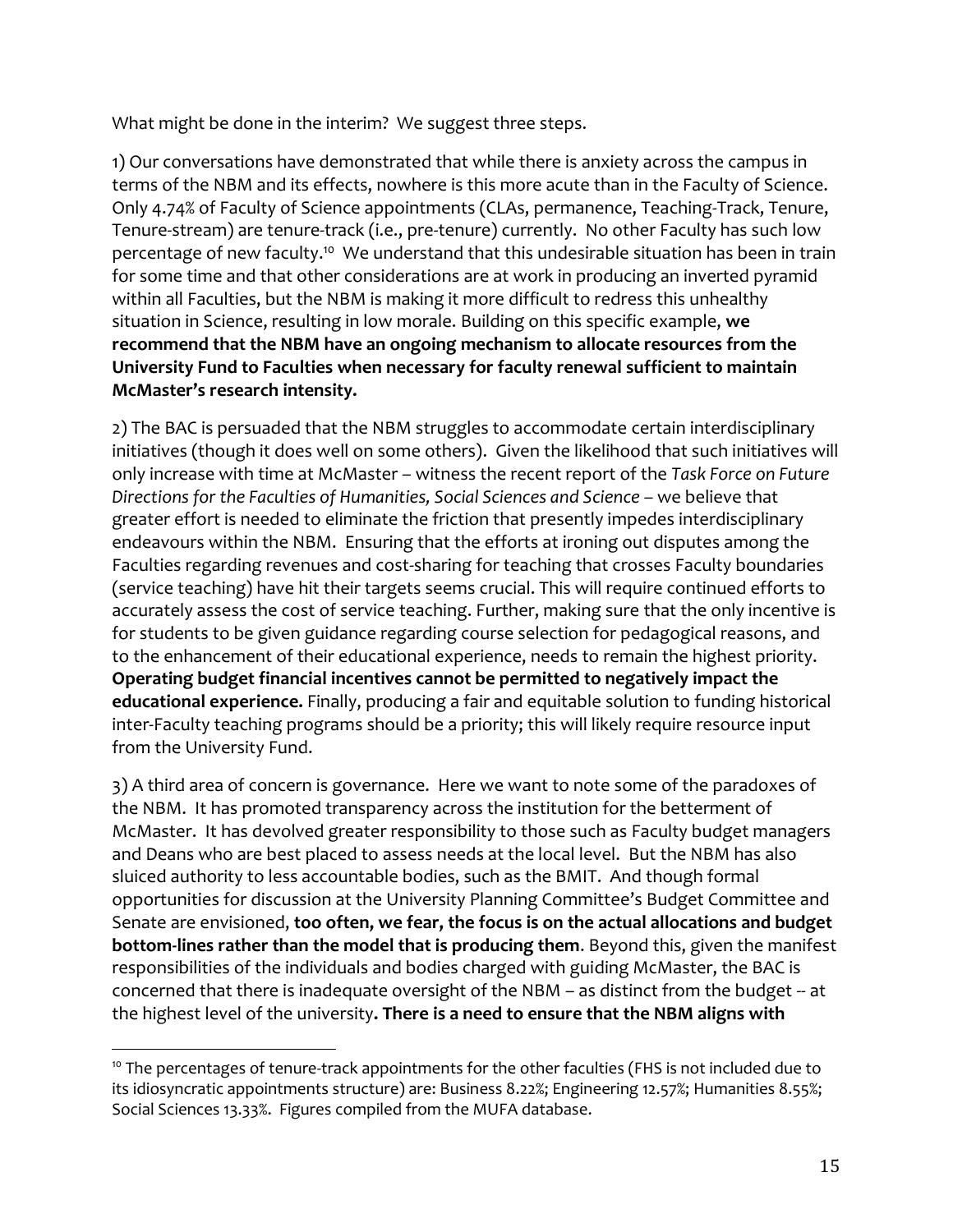What might be done in the interim? We suggest three steps.

1) Our conversations have demonstrated that while there is anxiety across the campus in terms of the NBM and its effects, nowhere is this more acute than in the Faculty of Science. Only 4.74% of Faculty of Science appointments (CLAs, permanence, Teaching-Track, Tenure, Tenure-stream) are tenure-track (i.e., pre-tenure) currently. No other Faculty has such low percentage of new faculty.<sup>10</sup> We understand that this undesirable situation has been in train for some time and that other considerations are at work in producing an inverted pyramid within all Faculties, but the NBM is making it more difficult to redress this unhealthy situation in Science, resulting in low morale. Building on this specific example, **we recommend that the NBM have an ongoing mechanism to allocate resources from the University Fund to Faculties when necessary for faculty renewal sufficient to maintain McMaster's research intensity.** 

2) The BAC is persuaded that the NBM struggles to accommodate certain interdisciplinary initiatives (though it does well on some others). Given the likelihood that such initiatives will only increase with time at McMaster – witness the recent report of the *Task Force on Future Directions for the Faculties of Humanities, Social Sciences and Science* – we believe that greater effort is needed to eliminate the friction that presently impedes interdisciplinary endeavours within the NBM. Ensuring that the efforts at ironing out disputes among the Faculties regarding revenues and cost-sharing for teaching that crosses Faculty boundaries (service teaching) have hit their targets seems crucial. This will require continued efforts to accurately assess the cost of service teaching. Further, making sure that the only incentive is for students to be given guidance regarding course selection for pedagogical reasons, and to the enhancement of their educational experience, needs to remain the highest priority. **Operating budget financial incentives cannot be permitted to negatively impact the educational experience.** Finally, producing a fair and equitable solution to funding historical inter-Faculty teaching programs should be a priority; this will likely require resource input from the University Fund.

3) A third area of concern is governance. Here we want to note some of the paradoxes of the NBM. It has promoted transparency across the institution for the betterment of McMaster. It has devolved greater responsibility to those such as Faculty budget managers and Deans who are best placed to assess needs at the local level. But the NBM has also sluiced authority to less accountable bodies, such as the BMIT. And though formal opportunities for discussion at the University Planning Committee's Budget Committee and Senate are envisioned, **too often, we fear, the focus is on the actual allocations and budget bottom-lines rather than the model that is producing them**. Beyond this, given the manifest responsibilities of the individuals and bodies charged with guiding McMaster, the BAC is concerned that there is inadequate oversight of the NBM – as distinct from the budget -- at the highest level of the university**. There is a need to ensure that the NBM aligns with** 

l

<sup>&</sup>lt;sup>10</sup> The percentages of tenure-track appointments for the other faculties (FHS is not included due to its idiosyncratic appointments structure) are: Business 8.22%; Engineering 12.57%; Humanities 8.55%; Social Sciences 13.33%. Figures compiled from the MUFA database.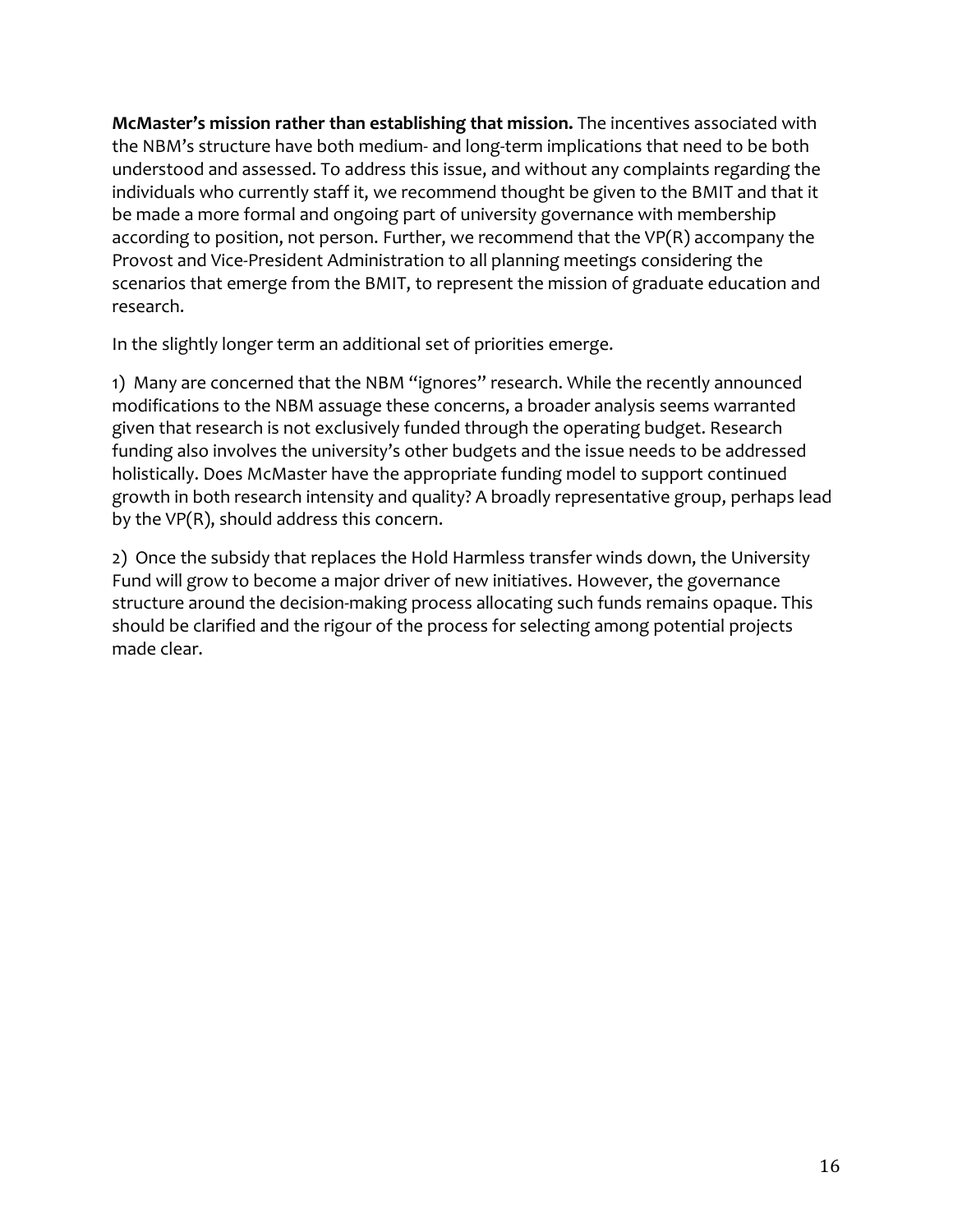**McMaster's mission rather than establishing that mission.** The incentives associated with the NBM's structure have both medium- and long-term implications that need to be both understood and assessed. To address this issue, and without any complaints regarding the individuals who currently staff it, we recommend thought be given to the BMIT and that it be made a more formal and ongoing part of university governance with membership according to position, not person. Further, we recommend that the VP(R) accompany the Provost and Vice-President Administration to all planning meetings considering the scenarios that emerge from the BMIT, to represent the mission of graduate education and research.

In the slightly longer term an additional set of priorities emerge.

1) Many are concerned that the NBM "ignores" research. While the recently announced modifications to the NBM assuage these concerns, a broader analysis seems warranted given that research is not exclusively funded through the operating budget. Research funding also involves the university's other budgets and the issue needs to be addressed holistically. Does McMaster have the appropriate funding model to support continued growth in both research intensity and quality? A broadly representative group, perhaps lead by the VP(R), should address this concern.

2) Once the subsidy that replaces the Hold Harmless transfer winds down, the University Fund will grow to become a major driver of new initiatives. However, the governance structure around the decision-making process allocating such funds remains opaque. This should be clarified and the rigour of the process for selecting among potential projects made clear.